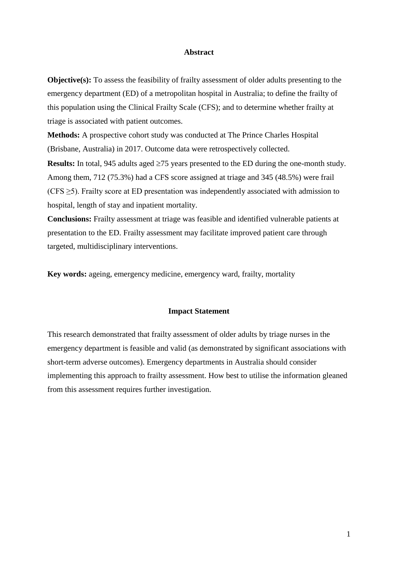### **Abstract**

**Objective(s):** To assess the feasibility of frailty assessment of older adults presenting to the emergency department (ED) of a metropolitan hospital in Australia; to define the frailty of this population using the Clinical Frailty Scale (CFS); and to determine whether frailty at triage is associated with patient outcomes.

**Methods:** A prospective cohort study was conducted at The Prince Charles Hospital (Brisbane, Australia) in 2017. Outcome data were retrospectively collected.

**Results:** In total, 945 adults aged  $\geq$ 75 years presented to the ED during the one-month study. Among them, 712 (75.3%) had a CFS score assigned at triage and 345 (48.5%) were frail (CFS  $\geq$ 5). Frailty score at ED presentation was independently associated with admission to hospital, length of stay and inpatient mortality.

**Conclusions:** Frailty assessment at triage was feasible and identified vulnerable patients at presentation to the ED. Frailty assessment may facilitate improved patient care through targeted, multidisciplinary interventions.

**Key words:** ageing, emergency medicine, emergency ward, frailty, mortality

### **Impact Statement**

This research demonstrated that frailty assessment of older adults by triage nurses in the emergency department is feasible and valid (as demonstrated by significant associations with short-term adverse outcomes). Emergency departments in Australia should consider implementing this approach to frailty assessment. How best to utilise the information gleaned from this assessment requires further investigation.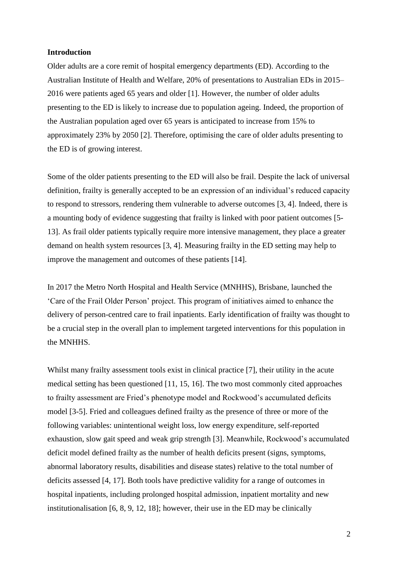### **Introduction**

Older adults are a core remit of hospital emergency departments (ED). According to the Australian Institute of Health and Welfare, 20% of presentations to Australian EDs in 2015– 2016 were patients aged 65 years and older [1]. However, the number of older adults presenting to the ED is likely to increase due to population ageing. Indeed, the proportion of the Australian population aged over 65 years is anticipated to increase from 15% to approximately 23% by 2050 [2]. Therefore, optimising the care of older adults presenting to the ED is of growing interest.

Some of the older patients presenting to the ED will also be frail. Despite the lack of universal definition, frailty is generally accepted to be an expression of an individual's reduced capacity to respond to stressors, rendering them vulnerable to adverse outcomes [3, 4]. Indeed, there is a mounting body of evidence suggesting that frailty is linked with poor patient outcomes [5- 13]. As frail older patients typically require more intensive management, they place a greater demand on health system resources [3, 4]. Measuring frailty in the ED setting may help to improve the management and outcomes of these patients [14].

In 2017 the Metro North Hospital and Health Service (MNHHS), Brisbane, launched the 'Care of the Frail Older Person' project. This program of initiatives aimed to enhance the delivery of person-centred care to frail inpatients. Early identification of frailty was thought to be a crucial step in the overall plan to implement targeted interventions for this population in the MNHHS.

Whilst many frailty assessment tools exist in clinical practice [7], their utility in the acute medical setting has been questioned [11, 15, 16]. The two most commonly cited approaches to frailty assessment are Fried's phenotype model and Rockwood's accumulated deficits model [3-5]. Fried and colleagues defined frailty as the presence of three or more of the following variables: unintentional weight loss, low energy expenditure, self-reported exhaustion, slow gait speed and weak grip strength [3]. Meanwhile, Rockwood's accumulated deficit model defined frailty as the number of health deficits present (signs, symptoms, abnormal laboratory results, disabilities and disease states) relative to the total number of deficits assessed [4, 17]. Both tools have predictive validity for a range of outcomes in hospital inpatients, including prolonged hospital admission, inpatient mortality and new institutionalisation [6, 8, 9, 12, 18]; however, their use in the ED may be clinically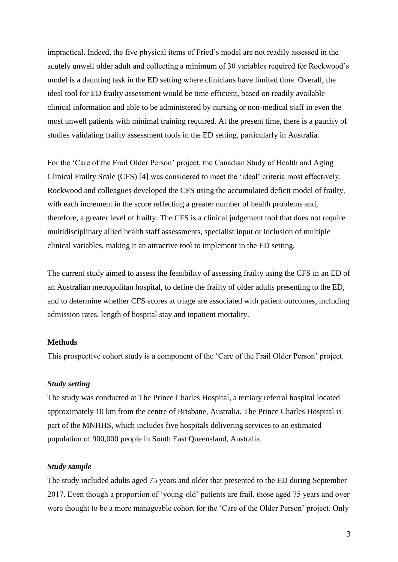impractical. Indeed, the five physical items of Fried's model are not readily assessed in the acutely unwell older adult and collecting a minimum of 30 variables required for Rockwood's model is a daunting task in the ED setting where clinicians have limited time. Overall, the ideal tool for ED frailty assessment would be time efficient, based on readily available clinical information and able to be administered by nursing or non-medical staff in even the most unwell patients with minimal training required. At the present time, there is a paucity of studies validating frailty assessment tools in the ED setting, particularly in Australia.

For the 'Care of the Frail Older Person' project, the Canadian Study of Health and Aging Clinical Frailty Scale (CFS) [4] was considered to meet the 'ideal' criteria most effectively. Rockwood and colleagues developed the CFS using the accumulated deficit model of frailty, with each increment in the score reflecting a greater number of health problems and, therefore, a greater level of frailty. The CFS is a clinical judgement tool that does not require multidisciplinary allied health staff assessments, specialist input or inclusion of multiple clinical variables, making it an attractive tool to implement in the ED setting.

The current study aimed to assess the feasibility of assessing frailty using the CFS in an ED of an Australian metropolitan hospital, to define the frailty of older adults presenting to the ED, and to determine whether CFS scores at triage are associated with patient outcomes, including admission rates, length of hospital stay and inpatient mortality.

### **Methods**

This prospective cohort study is a component of the 'Care of the Frail Older Person' project.

## *Study setting*

The study was conducted at The Prince Charles Hospital, a tertiary referral hospital located approximately 10 km from the centre of Brisbane, Australia. The Prince Charles Hospital is part of the MNHHS, which includes five hospitals delivering services to an estimated population of 900,000 people in South East Queensland, Australia.

### *Study sample*

The study included adults aged 75 years and older that presented to the ED during September 2017. Even though a proportion of 'young-old' patients are frail, those aged 75 years and over were thought to be a more manageable cohort for the 'Care of the Older Person' project. Only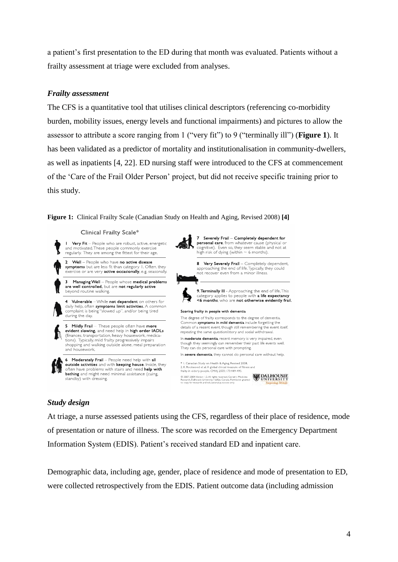a patient's first presentation to the ED during that month was evaluated. Patients without a frailty assessment at triage were excluded from analyses.

## *Frailty assessment*

The CFS is a quantitative tool that utilises clinical descriptors (referencing co-morbidity burden, mobility issues, energy levels and functional impairments) and pictures to allow the assessor to attribute a score ranging from 1 ("very fit") to 9 ("terminally ill") (**Figure 1**). It has been validated as a predictor of mortality and institutionalisation in community-dwellers, as well as inpatients [4, 22]. ED nursing staff were introduced to the CFS at commencement of the 'Care of the Frail Older Person' project, but did not receive specific training prior to this study.



### Clinical Frailty Scale\*



## *Study design*

At triage, a nurse assessed patients using the CFS, regardless of their place of residence, mode of presentation or nature of illness. The score was recorded on the Emergency Department Information System (EDIS). Patient's received standard ED and inpatient care.

Demographic data, including age, gender, place of residence and mode of presentation to ED, were collected retrospectively from the EDIS. Patient outcome data (including admission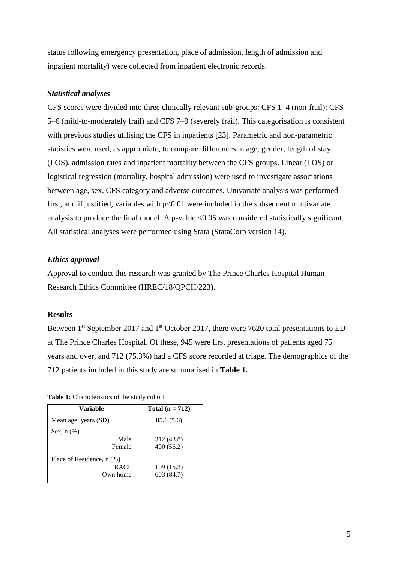status following emergency presentation, place of admission, length of admission and inpatient mortality) were collected from inpatient electronic records.

## *Statistical analyses*

CFS scores were divided into three clinically relevant sub-groups: CFS 1–4 (non-frail); CFS 5–6 (mild-to-moderately frail) and CFS 7–9 (severely frail). This categorisation is consistent with previous studies utilising the CFS in inpatients [23]. Parametric and non-parametric statistics were used, as appropriate, to compare differences in age, gender, length of stay (LOS), admission rates and inpatient mortality between the CFS groups. Linear (LOS) or logistical regression (mortality, hospital admission) were used to investigate associations between age, sex, CFS category and adverse outcomes. Univariate analysis was performed first, and if justified, variables with  $p<0.01$  were included in the subsequent multivariate analysis to produce the final model. A p-value <0.05 was considered statistically significant. All statistical analyses were performed using Stata (StataCorp version 14).

## *Ethics approval*

Approval to conduct this research was granted by The Prince Charles Hospital Human Research Ethics Committee (HREC/18/QPCH/223).

## **Results**

Between 1<sup>st</sup> September 2017 and 1<sup>st</sup> October 2017, there were 7620 total presentations to ED at The Prince Charles Hospital. Of these, 945 were first presentations of patients aged 75 years and over, and 712 (75.3%) had a CFS score recorded at triage. The demographics of the 712 patients included in this study are summarised in **Table 1.**

| Variable                                             | Total $(n = 712)$       |  |
|------------------------------------------------------|-------------------------|--|
| Mean age, years (SD)                                 | 85.6 (5.6)              |  |
| Sex, $n$ $(\%)$<br>Male<br>Female                    | 312 (43.8)<br>400(56.2) |  |
| Place of Residence, n (%)<br><b>RACF</b><br>Own home | 109(15.3)<br>603 (84.7) |  |

**Table 1:** Characteristics of the study cohort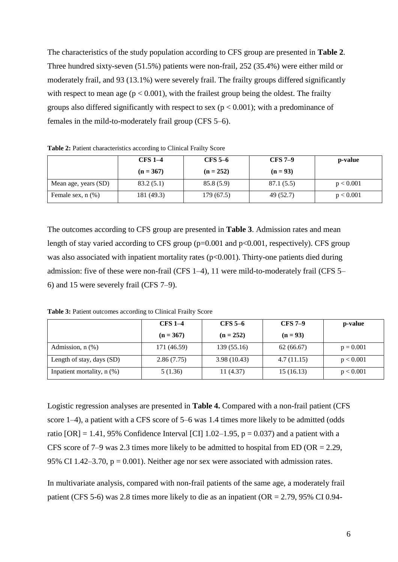The characteristics of the study population according to CFS group are presented in **Table 2**. Three hundred sixty-seven (51.5%) patients were non-frail, 252 (35.4%) were either mild or moderately frail, and 93 (13.1%) were severely frail. The frailty groups differed significantly with respect to mean age ( $p < 0.001$ ), with the frailest group being the oldest. The frailty groups also differed significantly with respect to sex ( $p < 0.001$ ); with a predominance of females in the mild-to-moderately frail group (CFS 5–6).

|                        | <b>CFS 1-4</b> | $CFS 5-6$   | $CFS 7-9$  | p-value   |
|------------------------|----------------|-------------|------------|-----------|
|                        | $(n = 367)$    | $(n = 252)$ | $(n = 93)$ |           |
| Mean age, years (SD)   | 83.2(5.1)      | 85.8 (5.9)  | 87.1 (5.5) | p < 0.001 |
| Female sex, $n$ $(\%)$ | 181 (49.3)     | 179 (67.5)  | 49 (52.7)  | p < 0.001 |

**Table 2:** Patient characteristics according to Clinical Frailty Score

The outcomes according to CFS group are presented in **Table 3**. Admission rates and mean length of stay varied according to CFS group (p=0.001 and p<0.001, respectively). CFS group was also associated with inpatient mortality rates  $(p<0.001)$ . Thirty-one patients died during admission: five of these were non-frail (CFS 1–4), 11 were mild-to-moderately frail (CFS 5– 6) and 15 were severely frail (CFS 7–9).

**Table 3:** Patient outcomes according to Clinical Frailty Score

|                                 | $CFS$ 1-4   | $CFS$ 5–6   | <b>CFS 7-9</b> | p-value     |
|---------------------------------|-------------|-------------|----------------|-------------|
|                                 | $(n = 367)$ | $(n = 252)$ | $(n = 93)$     |             |
| Admission, $n$ $(\%)$           | 171 (46.59) | 139(55.16)  | 62(66.67)      | $p = 0.001$ |
| Length of stay, days (SD)       | 2.86(7.75)  | 3.98(10.43) | 4.7(11.15)     | p < 0.001   |
| Inpatient mortality, $n$ $(\%)$ | 5(1.36)     | 11(4.37)    | 15(16.13)      | p < 0.001   |

Logistic regression analyses are presented in **Table 4.** Compared with a non-frail patient (CFS score 1–4), a patient with a CFS score of 5–6 was 1.4 times more likely to be admitted (odds ratio  $[OR] = 1.41$ , 95% Confidence Interval  $[CI]$  1.02–1.95,  $p = 0.037$ ) and a patient with a CFS score of  $7-9$  was 2.3 times more likely to be admitted to hospital from ED (OR = 2.29, 95% CI 1.42–3.70,  $p = 0.001$ ). Neither age nor sex were associated with admission rates.

In multivariate analysis, compared with non-frail patients of the same age, a moderately frail patient (CFS 5-6) was 2.8 times more likely to die as an inpatient (OR = 2.79, 95% CI 0.94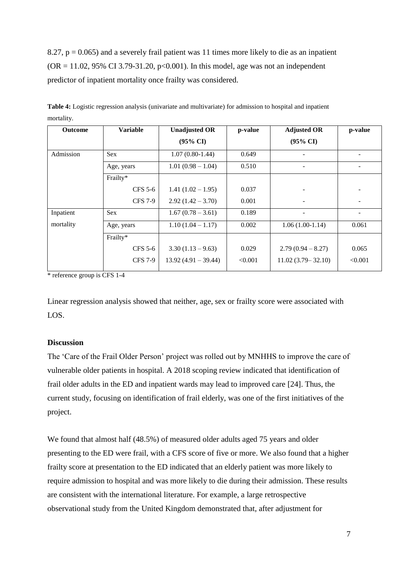8.27,  $p = 0.065$ ) and a severely frail patient was 11 times more likely to die as an inpatient  $(OR = 11.02, 95\% \text{ CI } 3.79 - 31.20, p < 0.001)$ . In this model, age was not an independent predictor of inpatient mortality once frailty was considered.

| <b>Outcome</b> | <b>Variable</b> | <b>Unadjusted OR</b>  | p-value | <b>Adjusted OR</b>    | p-value |
|----------------|-----------------|-----------------------|---------|-----------------------|---------|
|                |                 | $(95\% \text{ CI})$   |         | $(95\% \text{ CI})$   |         |
| Admission      | Sex             | $1.07(0.80-1.44)$     | 0.649   |                       |         |
|                | Age, years      | $1.01(0.98-1.04)$     | 0.510   |                       |         |
|                | Frailty*        |                       |         |                       |         |
|                | <b>CFS 5-6</b>  | $1.41(1.02 - 1.95)$   | 0.037   |                       |         |
|                | <b>CFS</b> 7-9  | $2.92(1.42 - 3.70)$   | 0.001   |                       |         |
| Inpatient      | Sex             | $1.67(0.78-3.61)$     | 0.189   |                       |         |
| mortality      | Age, years      | $1.10(1.04 - 1.17)$   | 0.002   | $1.06(1.00-1.14)$     | 0.061   |
|                | Frailty*        |                       |         |                       |         |
|                | CFS 5-6         | $3.30(1.13 - 9.63)$   | 0.029   | $2.79(0.94 - 8.27)$   | 0.065   |
|                | <b>CFS 7-9</b>  | $13.92(4.91 - 39.44)$ | < 0.001 | $11.02(3.79 - 32.10)$ | < 0.001 |

**Table 4:** Logistic regression analysis (univariate and multivariate) for admission to hospital and inpatient mortality.

\* reference group is CFS 1-4

Linear regression analysis showed that neither, age, sex or frailty score were associated with LOS.

## **Discussion**

The 'Care of the Frail Older Person' project was rolled out by MNHHS to improve the care of vulnerable older patients in hospital. A 2018 scoping review indicated that identification of frail older adults in the ED and inpatient wards may lead to improved care [24]. Thus, the current study, focusing on identification of frail elderly, was one of the first initiatives of the project.

We found that almost half (48.5%) of measured older adults aged 75 years and older presenting to the ED were frail, with a CFS score of five or more. We also found that a higher frailty score at presentation to the ED indicated that an elderly patient was more likely to require admission to hospital and was more likely to die during their admission. These results are consistent with the international literature. For example, a large retrospective observational study from the United Kingdom demonstrated that, after adjustment for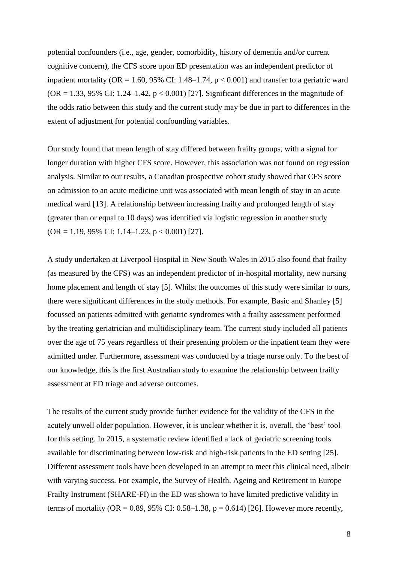potential confounders (i.e., age, gender, comorbidity, history of dementia and/or current cognitive concern), the CFS score upon ED presentation was an independent predictor of inpatient mortality ( $OR = 1.60$ , 95% CI: 1.48–1.74,  $p < 0.001$ ) and transfer to a geriatric ward (OR = 1.33, 95% CI: 1.24–1.42,  $p < 0.001$ ) [27]. Significant differences in the magnitude of the odds ratio between this study and the current study may be due in part to differences in the extent of adjustment for potential confounding variables.

Our study found that mean length of stay differed between frailty groups, with a signal for longer duration with higher CFS score. However, this association was not found on regression analysis. Similar to our results, a Canadian prospective cohort study showed that CFS score on admission to an acute medicine unit was associated with mean length of stay in an acute medical ward [13]. A relationship between increasing frailty and prolonged length of stay (greater than or equal to 10 days) was identified via logistic regression in another study  $(OR = 1.19, 95\% \text{ CI: } 1.14 - 1.23, p < 0.001)$  [27].

A study undertaken at Liverpool Hospital in New South Wales in 2015 also found that frailty (as measured by the CFS) was an independent predictor of in-hospital mortality, new nursing home placement and length of stay [5]. Whilst the outcomes of this study were similar to ours, there were significant differences in the study methods. For example, Basic and Shanley [5] focussed on patients admitted with geriatric syndromes with a frailty assessment performed by the treating geriatrician and multidisciplinary team. The current study included all patients over the age of 75 years regardless of their presenting problem or the inpatient team they were admitted under. Furthermore, assessment was conducted by a triage nurse only. To the best of our knowledge, this is the first Australian study to examine the relationship between frailty assessment at ED triage and adverse outcomes.

The results of the current study provide further evidence for the validity of the CFS in the acutely unwell older population. However, it is unclear whether it is, overall, the 'best' tool for this setting. In 2015, a systematic review identified a lack of geriatric screening tools available for discriminating between low-risk and high-risk patients in the ED setting [25]. Different assessment tools have been developed in an attempt to meet this clinical need, albeit with varying success. For example, the Survey of Health, Ageing and Retirement in Europe Frailty Instrument (SHARE-FI) in the ED was shown to have limited predictive validity in terms of mortality (OR = 0.89, 95% CI: 0.58–1.38,  $p = 0.614$ ) [26]. However more recently,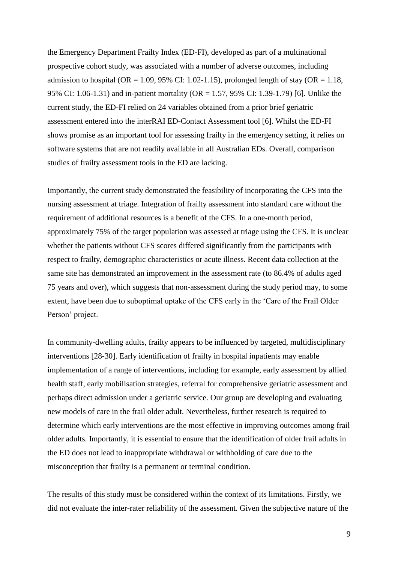the Emergency Department Frailty Index (ED-FI), developed as part of a multinational prospective cohort study, was associated with a number of adverse outcomes, including admission to hospital (OR = 1.09, 95% CI: 1.02-1.15), prolonged length of stay (OR = 1.18, 95% CI: 1.06-1.31) and in-patient mortality (OR = 1.57, 95% CI: 1.39-1.79) [6]. Unlike the current study, the ED-FI relied on 24 variables obtained from a prior brief geriatric assessment entered into the interRAI ED-Contact Assessment tool [6]. Whilst the ED-FI shows promise as an important tool for assessing frailty in the emergency setting, it relies on software systems that are not readily available in all Australian EDs. Overall, comparison studies of frailty assessment tools in the ED are lacking.

Importantly, the current study demonstrated the feasibility of incorporating the CFS into the nursing assessment at triage. Integration of frailty assessment into standard care without the requirement of additional resources is a benefit of the CFS. In a one-month period, approximately 75% of the target population was assessed at triage using the CFS. It is unclear whether the patients without CFS scores differed significantly from the participants with respect to frailty, demographic characteristics or acute illness. Recent data collection at the same site has demonstrated an improvement in the assessment rate (to 86.4% of adults aged 75 years and over), which suggests that non-assessment during the study period may, to some extent, have been due to suboptimal uptake of the CFS early in the 'Care of the Frail Older Person' project.

In community-dwelling adults, frailty appears to be influenced by targeted, multidisciplinary interventions [28-30]. Early identification of frailty in hospital inpatients may enable implementation of a range of interventions, including for example, early assessment by allied health staff, early mobilisation strategies, referral for comprehensive geriatric assessment and perhaps direct admission under a geriatric service. Our group are developing and evaluating new models of care in the frail older adult. Nevertheless, further research is required to determine which early interventions are the most effective in improving outcomes among frail older adults. Importantly, it is essential to ensure that the identification of older frail adults in the ED does not lead to inappropriate withdrawal or withholding of care due to the misconception that frailty is a permanent or terminal condition.

The results of this study must be considered within the context of its limitations. Firstly, we did not evaluate the inter-rater reliability of the assessment. Given the subjective nature of the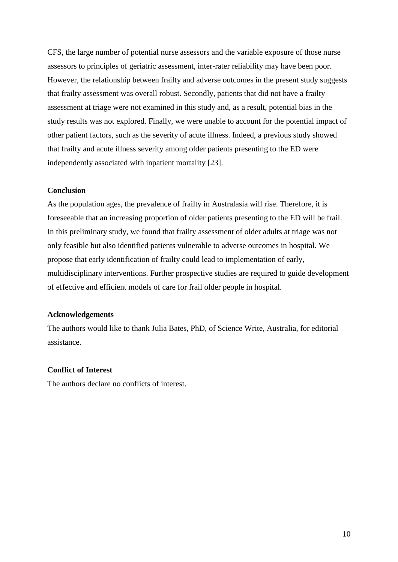CFS, the large number of potential nurse assessors and the variable exposure of those nurse assessors to principles of geriatric assessment, inter-rater reliability may have been poor. However, the relationship between frailty and adverse outcomes in the present study suggests that frailty assessment was overall robust. Secondly, patients that did not have a frailty assessment at triage were not examined in this study and, as a result, potential bias in the study results was not explored. Finally, we were unable to account for the potential impact of other patient factors, such as the severity of acute illness. Indeed, a previous study showed that frailty and acute illness severity among older patients presenting to the ED were independently associated with inpatient mortality [23].

### **Conclusion**

As the population ages, the prevalence of frailty in Australasia will rise. Therefore, it is foreseeable that an increasing proportion of older patients presenting to the ED will be frail. In this preliminary study, we found that frailty assessment of older adults at triage was not only feasible but also identified patients vulnerable to adverse outcomes in hospital. We propose that early identification of frailty could lead to implementation of early, multidisciplinary interventions. Further prospective studies are required to guide development of effective and efficient models of care for frail older people in hospital.

### **Acknowledgements**

The authors would like to thank Julia Bates, PhD, of Science Write, Australia, for editorial assistance.

## **Conflict of Interest**

The authors declare no conflicts of interest.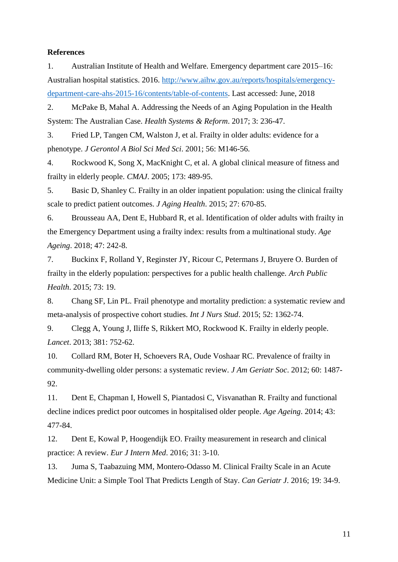# **References**

1. Australian Institute of Health and Welfare. Emergency department care 2015–16: Australian hospital statistics. 2016. [http://www.aihw.gov.au/reports/hospitals/emergency](http://www.aihw.gov.au/reports/hospitals/emergency-department-care-ahs-2015-16/contents/table-of-contents)[department-care-ahs-2015-16/contents/table-of-contents.](http://www.aihw.gov.au/reports/hospitals/emergency-department-care-ahs-2015-16/contents/table-of-contents) Last accessed: June, 2018

2. McPake B, Mahal A. Addressing the Needs of an Aging Population in the Health System: The Australian Case. *Health Systems & Reform*. 2017; 3: 236-47.

3. Fried LP, Tangen CM, Walston J, et al. Frailty in older adults: evidence for a phenotype. *J Gerontol A Biol Sci Med Sci*. 2001; 56: M146-56.

4. Rockwood K, Song X, MacKnight C, et al. A global clinical measure of fitness and frailty in elderly people. *CMAJ*. 2005; 173: 489-95.

5. Basic D, Shanley C. Frailty in an older inpatient population: using the clinical frailty scale to predict patient outcomes. *J Aging Health*. 2015; 27: 670-85.

6. Brousseau AA, Dent E, Hubbard R, et al. Identification of older adults with frailty in the Emergency Department using a frailty index: results from a multinational study. *Age Ageing*. 2018; 47: 242-8.

7. Buckinx F, Rolland Y, Reginster JY, Ricour C, Petermans J, Bruyere O. Burden of frailty in the elderly population: perspectives for a public health challenge. *Arch Public Health*. 2015; 73: 19.

8. Chang SF, Lin PL. Frail phenotype and mortality prediction: a systematic review and meta-analysis of prospective cohort studies. *Int J Nurs Stud*. 2015; 52: 1362-74.

9. Clegg A, Young J, Iliffe S, Rikkert MO, Rockwood K. Frailty in elderly people. *Lancet*. 2013; 381: 752-62.

10. Collard RM, Boter H, Schoevers RA, Oude Voshaar RC. Prevalence of frailty in community-dwelling older persons: a systematic review. *J Am Geriatr Soc*. 2012; 60: 1487- 92.

11. Dent E, Chapman I, Howell S, Piantadosi C, Visvanathan R. Frailty and functional decline indices predict poor outcomes in hospitalised older people. *Age Ageing*. 2014; 43: 477-84.

12. Dent E, Kowal P, Hoogendijk EO. Frailty measurement in research and clinical practice: A review. *Eur J Intern Med*. 2016; 31: 3-10.

13. Juma S, Taabazuing MM, Montero-Odasso M. Clinical Frailty Scale in an Acute Medicine Unit: a Simple Tool That Predicts Length of Stay. *Can Geriatr J*. 2016; 19: 34-9.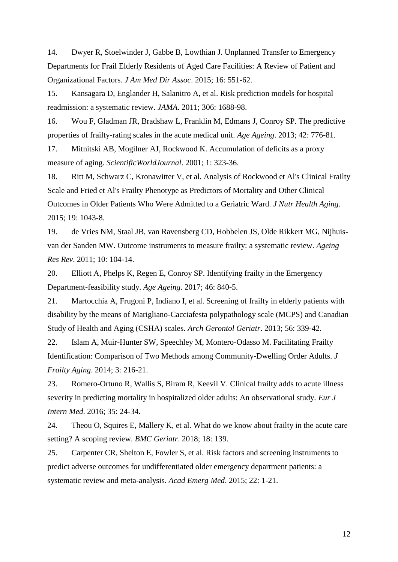14. Dwyer R, Stoelwinder J, Gabbe B, Lowthian J. Unplanned Transfer to Emergency Departments for Frail Elderly Residents of Aged Care Facilities: A Review of Patient and Organizational Factors. *J Am Med Dir Assoc*. 2015; 16: 551-62.

15. Kansagara D, Englander H, Salanitro A, et al. Risk prediction models for hospital readmission: a systematic review. *JAMA*. 2011; 306: 1688-98.

16. Wou F, Gladman JR, Bradshaw L, Franklin M, Edmans J, Conroy SP. The predictive properties of frailty-rating scales in the acute medical unit. *Age Ageing*. 2013; 42: 776-81.

17. Mitnitski AB, Mogilner AJ, Rockwood K. Accumulation of deficits as a proxy measure of aging. *ScientificWorldJournal*. 2001; 1: 323-36.

18. Ritt M, Schwarz C, Kronawitter V, et al. Analysis of Rockwood et Al's Clinical Frailty Scale and Fried et Al's Frailty Phenotype as Predictors of Mortality and Other Clinical Outcomes in Older Patients Who Were Admitted to a Geriatric Ward. *J Nutr Health Aging*. 2015; 19: 1043-8.

19. de Vries NM, Staal JB, van Ravensberg CD, Hobbelen JS, Olde Rikkert MG, Nijhuisvan der Sanden MW. Outcome instruments to measure frailty: a systematic review. *Ageing Res Rev*. 2011; 10: 104-14.

20. Elliott A, Phelps K, Regen E, Conroy SP. Identifying frailty in the Emergency Department-feasibility study. *Age Ageing*. 2017; 46: 840-5.

21. Martocchia A, Frugoni P, Indiano I, et al. Screening of frailty in elderly patients with disability by the means of Marigliano-Cacciafesta polypathology scale (MCPS) and Canadian Study of Health and Aging (CSHA) scales. *Arch Gerontol Geriatr*. 2013; 56: 339-42.

22. Islam A, Muir-Hunter SW, Speechley M, Montero-Odasso M. Facilitating Frailty Identification: Comparison of Two Methods among Community-Dwelling Order Adults. *J Frailty Aging*. 2014; 3: 216-21.

23. Romero-Ortuno R, Wallis S, Biram R, Keevil V. Clinical frailty adds to acute illness severity in predicting mortality in hospitalized older adults: An observational study. *Eur J Intern Med*. 2016; 35: 24-34.

24. Theou O, Squires E, Mallery K, et al. What do we know about frailty in the acute care setting? A scoping review. *BMC Geriatr*. 2018; 18: 139.

25. Carpenter CR, Shelton E, Fowler S, et al. Risk factors and screening instruments to predict adverse outcomes for undifferentiated older emergency department patients: a systematic review and meta-analysis. *Acad Emerg Med*. 2015; 22: 1-21.